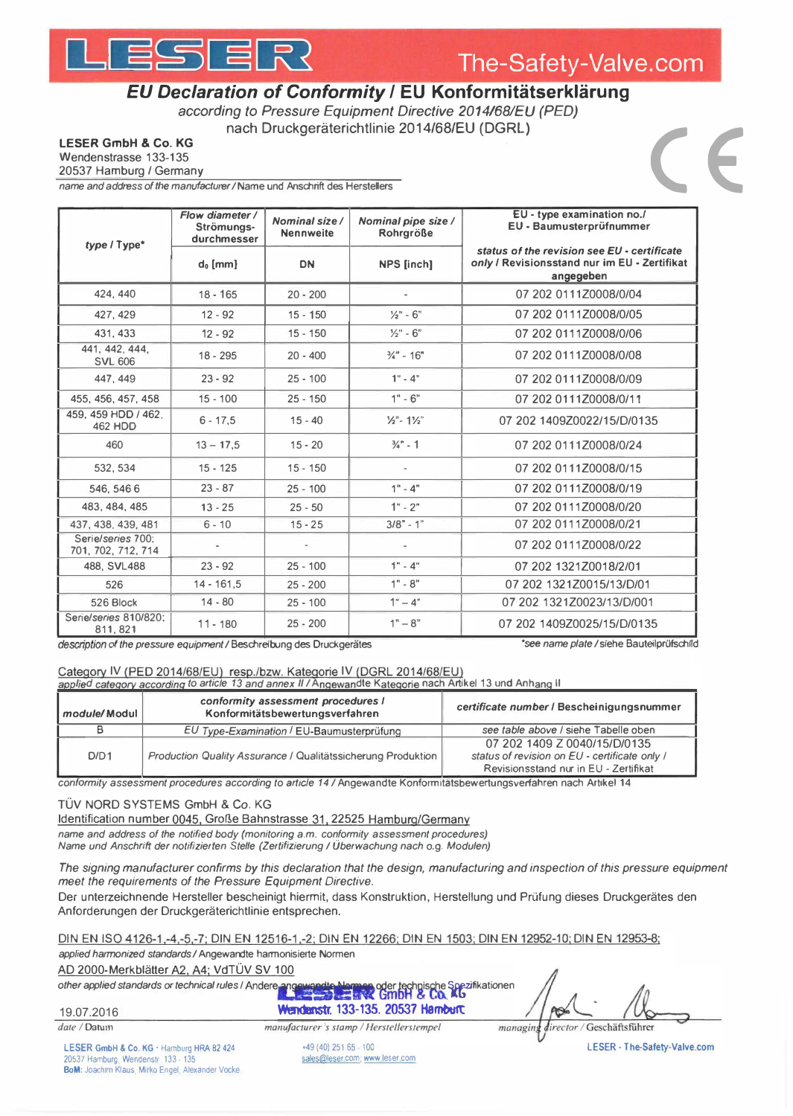# ESER



## EU Declaration of Conformity / EU Konformitätserklärung

according to Pressure Equipment Directive 2014/68/EU (PED) nach Druckgeräterichtlinie 2014/68/EU (DGRL)

**LESER GmbH & Co. KG** 

Wendenstrasse 133-135

20537 Hamburg / Germany

name and address of the manufacturer / Name und Anschrift des Herstellers

| type / Type*                            | Flow diameter /<br>Strömungs-<br>durchmesser | Nominal size /<br><b>Nennweite</b> | Nominal pipe size /<br><b>Rohrgröße</b> | EU - type examination no./<br>EU - Baumusterprüfnummer                                                   |
|-----------------------------------------|----------------------------------------------|------------------------------------|-----------------------------------------|----------------------------------------------------------------------------------------------------------|
|                                         | $d_0$ [mm]                                   | <b>DN</b>                          | <b>NPS</b> [inch]                       | status of the revision see EU - certificate<br>only / Revisionsstand nur im EU - Zertifikat<br>angegeben |
| 424, 440                                | $18 - 165$                                   | $20 - 200$                         | $\sim$                                  | 07 202 0111Z0008/0/04                                                                                    |
| 427, 429                                | $12 - 92$                                    | $15 - 150$                         | $\frac{1}{2}$ " - 6"                    | 07 202 0111Z0008/0/05                                                                                    |
| 431, 433                                | $12 - 92$                                    | $15 - 150$                         | $1/2" - 6"$                             | 07 202 0111Z0008/0/06                                                                                    |
| 441, 442, 444,<br><b>SVL 606</b>        | $18 - 295$                                   | $20 - 400$                         | $\frac{3}{4}$ " - 16"                   | 07 202 0111Z0008/0/08                                                                                    |
| 447, 449                                | $23 - 92$                                    | $25 - 100$                         | $1" - 4"$                               | 07 202 0111Z0008/0/09                                                                                    |
| 455, 456, 457, 458                      | $15 - 100$                                   | $25 - 150$                         | $1" - 6"$                               | 07 202 0111Z0008/0/11                                                                                    |
| 459, 459 HDD / 462.<br><b>462 HDD</b>   | $6 - 17.5$                                   | $15 - 40$                          | $\frac{1}{2}$ - 1%"                     | 07 202 1409Z0022/15/D/0135                                                                               |
| 460                                     | $13 - 17.5$                                  | $15 - 20$                          | $\frac{3}{4}$ - 1                       | 07 202 0111Z0008/0/24                                                                                    |
| 532.534                                 | $15 - 125$                                   | $15 - 150$                         |                                         | 07 202 0111Z0008/0/15                                                                                    |
| 546, 546 6                              | $23 - 87$                                    | $25 - 100$                         | $1" - 4"$                               | 07 202 0111Z0008/0/19                                                                                    |
| 483, 484, 485                           | $13 - 25$                                    | $25 - 50$                          | $1" - 2"$                               | 07 202 0111Z0008/0/20                                                                                    |
| 437, 438, 439, 481                      | $6 - 10$                                     | $15 - 25$                          | $3/8 - 1$ "                             | 07 202 0111Z0008/0/21                                                                                    |
| Serie/series 700:<br>701, 702, 712, 714 |                                              |                                    |                                         | 07 202 0111Z0008/0/22                                                                                    |
| 488, SVL488                             | $23 - 92$                                    | $25 - 100$                         | $1" - 4"$                               | 07 202 1321Z0018/2/01                                                                                    |
| 526                                     | $14 - 161, 5$                                | $25 - 200$                         | $1" - 8"$                               | 07 202 1321Z0015/13/D/01                                                                                 |
| 526 Block                               | $14 - 80$                                    | $25 - 100$                         | $1" - 4"$                               | 07 202 1321Z0023/13/D/001                                                                                |
| Serie/series 810/820:<br>811, 821       | $11 - 180$                                   | $25 - 200$                         | $1" - 8"$                               | 07 202 1409Z0025/15/D/0135                                                                               |

description of the pressure equipment / Beschreibung des Druckgerätes

\*see name plate / siehe Bauteilprüfschild

### Category IV (PED 2014/68/EU) resp./bzw. Kategorie IV (DGRL 2014/68/EU)

applied category according to article 13 and annex II / Angewandte Kategorie nach Artikel 13 und Anhang II

| module/Modul | conformity assessment procedures I<br>Konformitätsbewertungsverfahren | certificate number / Bescheinigungsnummer                                                                              |
|--------------|-----------------------------------------------------------------------|------------------------------------------------------------------------------------------------------------------------|
|              | EU Type-Examination / EU-Baumusterprüfung                             | see table above / siehe Tabelle oben                                                                                   |
| D/D1         | Production Quality Assurance / Qualitätssicherung Produktion          | 07 202 1409 Z 0040/15/D/0135<br>status of revision on EU - certificate only /<br>Revisionsstand nur in EU - Zertifikat |

conformity assessment procedures according to article 14 / Angewandte Konformitätsbewertungsverfahren nach Artikel 14

#### TÜV NORD SYSTEMS GmbH & Co. KG

Identification number 0045, Große Bahnstrasse 31, 22525 Hamburg/Germany

name and address of the notified body (monitoring a.m. conformity assessment procedures) Name und Anschrift der notifizierten Stelle (Zertifizierung / Überwachung nach o.g. Modulen)

The signing manufacturer confirms by this declaration that the design, manufacturing and inspection of this pressure equipment meet the requirements of the Pressure Equipment Directive.

Der unterzeichnende Hersteller bescheinigt hiermit, dass Konstruktion, Herstellung und Prüfung dieses Druckgerätes den Anforderungen der Druckgeräterichtlinie entsprechen.

DIN EN ISO 4126-1,-4,-5,-7; DIN EN 12516-1,-2; DIN EN 12266; DIN EN 1503; DIN EN 12952-10; DIN EN 12953-8; applied harmonized standards / Angewandte harmonisierte Normen

AD 2000-Merkblätter A2, A4; VdTÜV SV 100

other applied standards or technical rules / Andere and Nermen oder technische Spezifikationen

19.07.2016

 $date / Dahun$ 

**Wendenstr. 133-135. 20537 Hamburg** manufacturer's stamp / Herstellerstempel

AS. managing director / Geschäftsführer

LESER GmbH & Co. KG · Hamburg HRA 82 424 20537 Hamburg, Wendenstr. 133 - 135<br>BoM: Joachim Klaus, Mirko Engel, Alexander Vocke

+49 (40) 251 65 - 100 sales@leser.com; www.leser.com LESER - The-Safety-Valve.com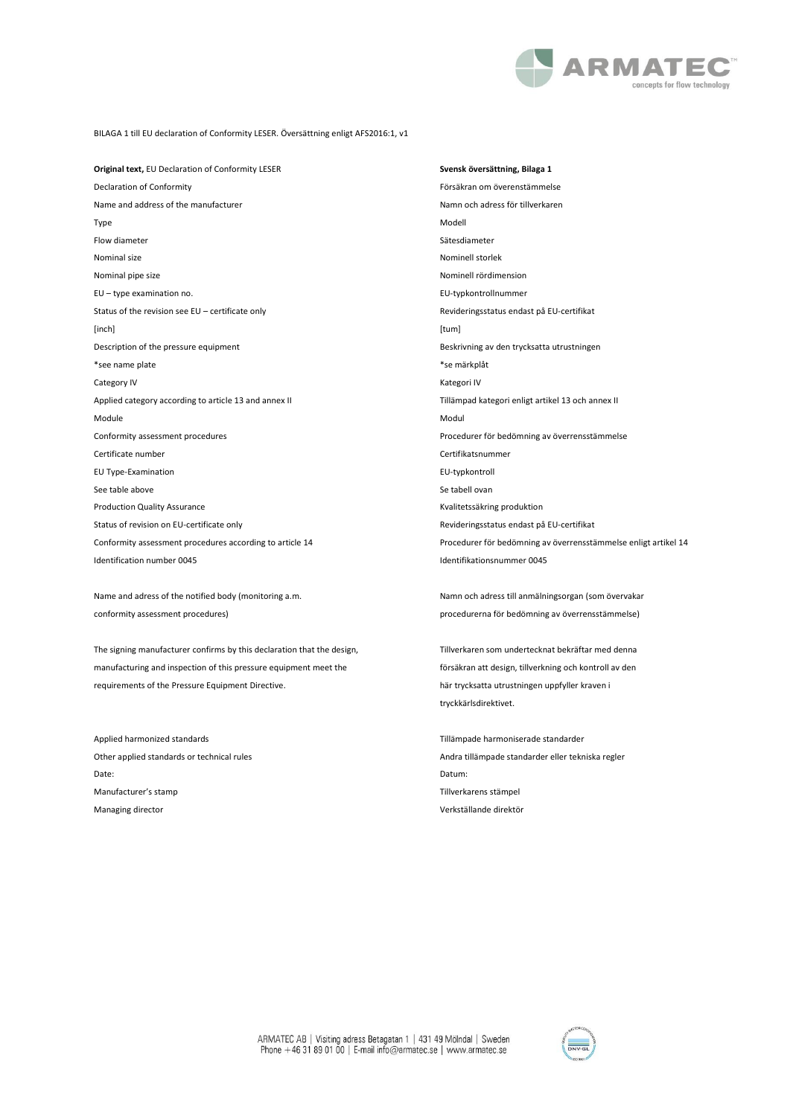

BILAGA 1 till EU declaration of Conformity LESER. Översättning enligt AFS2016:1, v1

**Original text,** EU Declaration of Conformity LESER **Svensk översättning, Bilaga 1** Declaration of Conformity Försäkran om överenstämmelse Name and address of the manufacturer Namn och adress för tillverkaren Namn och adress för tillverkaren Type Modell Flow diameter Sätesdiameter Nominal size Nominell storlek Nominal pipe size Nominell rördimension EU – type examination no. EU-typkontrollnummer Status of the revision see EU – certificate only **Revision Status on the COSE COSE** Revideringsstatus endast på EU-certifikat [inch] [tum] Description of the pressure equipment **Beskrivning av den trycksatta utrustningen** \*see name plate \*se märkplåt Category IV **Kategori IV** Kategori IV Applied category according to article 13 and annex II Tillämpad kategori enligt artikel 13 och annex II Module **Module** Modulation of the Modulation of the Modulation of the Modulation of the Modulation of the Modula Conformity assessment procedures Procedurer för bedömning av överrensstämmelse Certificate number Certifikatsnummer EU Type-Examination EU-typkontroll See table above See table above See table above See tabell ovan Production Quality Assurance **Kuality Assurance** Kvalitetssäkring produktion Status of revision on EU-certificate only **Review COVID Revideringsstatus endast på EU-certifikat** Identification number 0045 Identifikationsnummer 0045

Name and adress of the notified body (monitoring a.m. Namn och adress till anmälningsorgan (som övervakar conformity assessment procedures) procedurerna för bedömning av överrensstämmelse)

The signing manufacturer confirms by this declaration that the design, Tillverkaren som undertecknat bekräftar med denna manufacturing and inspection of this pressure equipment meet the försäkran att design, tillverkning och kontroll av den requirements of the Pressure Equipment Directive. https://www.här trycksatta utrustningen uppfyller kraven i

Applied harmonized standards Tillämpade harmoniserade standarder Date: Datum: Manufacturer's stamp descriptions of the matter of the matter of the Tillverkarens stämpel Managing director Verkställande direktör

Conformity assessment procedures according to article 14 Procedurer för bedömning av överrensstämmelse enligt artikel 14

tryckkärlsdirektivet.

Other applied standards or technical rules Andra tillämpade standarder eller tekniska regler